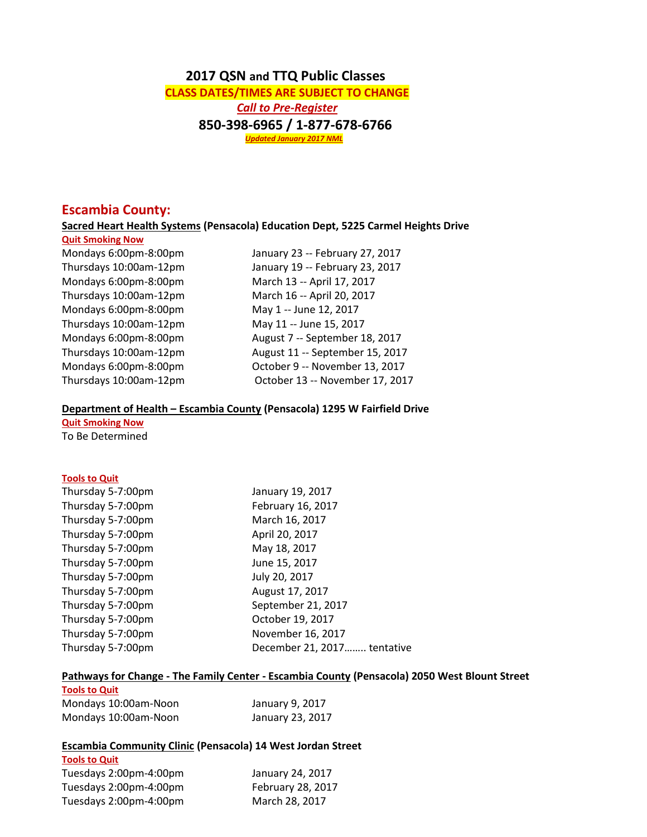# **2017 QSN and TTQ Public Classes**

 **CLASS DATES/TIMES ARE SUBJECT TO CHANGE**  *Call to Pre-Register*  **850-398-6965 / 1-877-678-6766**  *Updated January 2017 NML*

## **Escambia County:**

**Sacred Heart Health Systems (Pensacola) Education Dept, 5225 Carmel Heights Drive**

**Quit Smoking Now** Mondays 6:00pm-8:00pm March 13 -- April 17, 2017 Thursdays 10:00am-12pm March 16 -- April 20, 2017 Mondays 6:00pm-8:00pm May 1 -- June 12, 2017 Thursdays 10:00am-12pm May 11 -- June 15, 2017

Mondays 6:00pm-8:00pm January 23 -- February 27, 2017 Thursdays 10:00am-12pm January 19 -- February 23, 2017 Mondays 6:00pm-8:00pm August 7 -- September 18, 2017 Thursdays 10:00am-12pm August 11 -- September 15, 2017 Mondays 6:00pm-8:00pm October 9 -- November 13, 2017 Thursdays 10:00am-12pm October 13 -- November 17, 2017

#### **Department of Health – Escambia County (Pensacola) 1295 W Fairfield Drive**

**Quit Smoking Now** To Be Determined

## **Tools to Quit**

| January 19, 2017            |
|-----------------------------|
| February 16, 2017           |
| March 16, 2017              |
| April 20, 2017              |
| May 18, 2017                |
| June 15, 2017               |
| July 20, 2017               |
| August 17, 2017             |
| September 21, 2017          |
| October 19, 2017            |
| November 16, 2017           |
| December 21, 2017 tentative |
|                             |

## **Pathways for Change - The Family Center - Escambia County (Pensacola) 2050 West Blount Street**

| <b>Tools to Quit</b> |                  |
|----------------------|------------------|
| Mondays 10:00am-Noon | January 9, 2017  |
| Mondays 10:00am-Noon | January 23, 2017 |

## **Escambia Community Clinic (Pensacola) 14 West Jordan Street**

| <b>Tools to Quit</b>   |                   |
|------------------------|-------------------|
| Tuesdays 2:00pm-4:00pm | January 24, 2017  |
| Tuesdays 2:00pm-4:00pm | February 28, 2017 |
| Tuesdays 2:00pm-4:00pm | March 28, 2017    |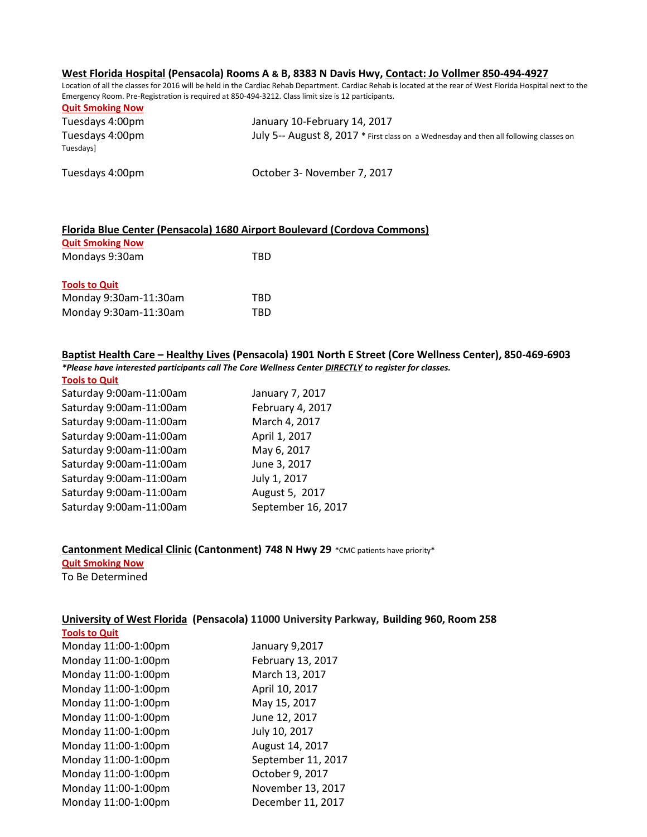#### **West Florida Hospital (Pensacola) Rooms A & B, 8383 N Davis Hwy, Contact: Jo Vollmer 850-494-4927**

Location of all the classes for 2016 will be held in the Cardiac Rehab Department. Cardiac Rehab is located at the rear of West Florida Hospital next to the Emergency Room. Pre-Registration is required at 850-494-3212. Class limit size is 12 participants.

| <b>Quit Smoking Now</b>      |                                                                                        |
|------------------------------|----------------------------------------------------------------------------------------|
| Tuesdays 4:00pm              | January 10-February 14, 2017                                                           |
| Tuesdays 4:00pm<br>Tuesdaysl | July 5-- August 8, 2017 * First class on a Wednesday and then all following classes on |
| Tuesdays 4:00pm              | October 3- November 7, 2017                                                            |

### **Florida Blue Center (Pensacola) 1680 Airport Boulevard (Cordova Commons)**

| <b>Quit Smoking Now</b> |     |
|-------------------------|-----|
| Mondays 9:30am          | TRD |
|                         |     |
| <b>Tools to Quit</b>    |     |
| Monday 9:30am-11:30am   | TRD |
| Monday 9:30am-11:30am   | TRD |

## **Baptist Health Care – Healthy Lives (Pensacola) 1901 North E Street (Core Wellness Center), 850-469-6903** *\*Please have interested participants call The Core Wellness Center DIRECTLY to register for classes.*

| <b>Tools to Quit</b>    |                    |
|-------------------------|--------------------|
| Saturday 9:00am-11:00am | January 7, 2017    |
| Saturday 9:00am-11:00am | February 4, 2017   |
| Saturday 9:00am-11:00am | March 4, 2017      |
| Saturday 9:00am-11:00am | April 1, 2017      |
| Saturday 9:00am-11:00am | May 6, 2017        |
| Saturday 9:00am-11:00am | June 3, 2017       |
| Saturday 9:00am-11:00am | July 1, 2017       |
| Saturday 9:00am-11:00am | August 5, 2017     |
| Saturday 9:00am-11:00am | September 16, 2017 |
|                         |                    |

### **Cantonment Medical Clinic (Cantonment) 748 N Hwy 29** \*CMC patients have priority\*

**Quit Smoking Now** To Be Determined

## **University of West Florida (Pensacola) 11000 University Parkway, Building 960, Room 258**

| <b>Tools to Quit</b> |                    |
|----------------------|--------------------|
| Monday 11:00-1:00pm  | January 9,2017     |
| Monday 11:00-1:00pm  | February 13, 2017  |
| Monday 11:00-1:00pm  | March 13, 2017     |
| Monday 11:00-1:00pm  | April 10, 2017     |
| Monday 11:00-1:00pm  | May 15, 2017       |
| Monday 11:00-1:00pm  | June 12, 2017      |
| Monday 11:00-1:00pm  | July 10, 2017      |
| Monday 11:00-1:00pm  | August 14, 2017    |
| Monday 11:00-1:00pm  | September 11, 2017 |
| Monday 11:00-1:00pm  | October 9, 2017    |
| Monday 11:00-1:00pm  | November 13, 2017  |
| Monday 11:00-1:00pm  | December 11, 2017  |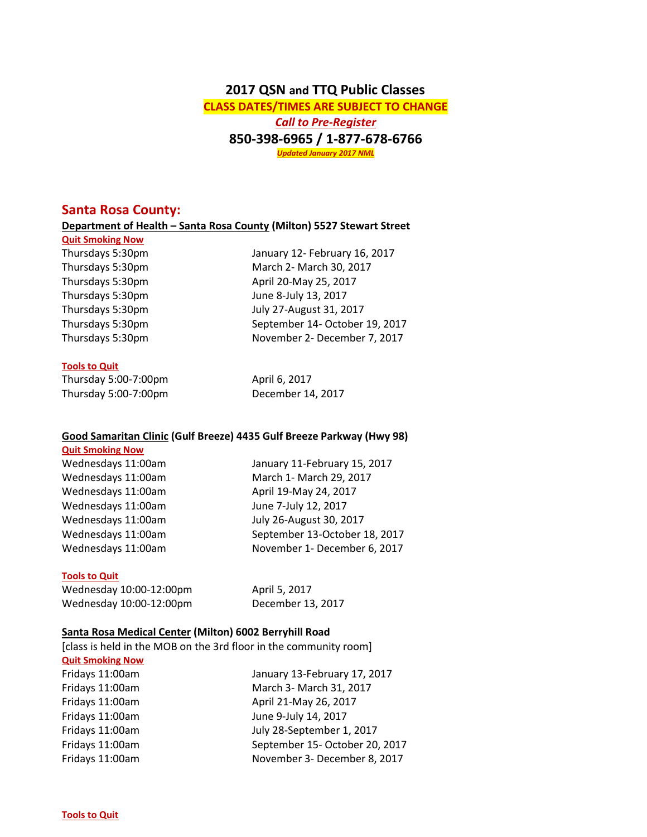# **2017 QSN and TTQ Public Classes CLASS DATES/TIMES ARE SUBJECT TO CHANGE** *Call to Pre-Register* **850-398-6965 / 1-877-678-6766** *Updated January 2017 NML*

## **Santa Rosa County:**

### **Department of Health – Santa Rosa County (Milton) 5527 Stewart Street**

**Quit Smoking Now**

Thursdays 5:30pm January 12- February 16, 2017 Thursdays 5:30pm March 2- March 30, 2017 Thursdays 5:30pm April 20-May 25, 2017 Thursdays 5:30pm June 8-July 13, 2017 Thursdays 5:30pm July 27-August 31, 2017 Thursdays 5:30pm September 14- October 19, 2017 Thursdays 5:30pm November 2- December 7, 2017

## **Tools to Quit**

| Thursday 5:00-7:00pm | April 6, 2017     |
|----------------------|-------------------|
| Thursday 5:00-7:00pm | December 14, 2017 |

## **Good Samaritan Clinic (Gulf Breeze) 4435 Gulf Breeze Parkway (Hwy 98)**

#### **Quit Smoking Now**

Wednesdays 11:00am January 11-February 15, 2017 Wednesdays 11:00am March 1- March 29, 2017 Wednesdays 11:00am April 19-May 24, 2017 Wednesdays 11:00am June 7-July 12, 2017 Wednesdays 11:00am July 26-August 30, 2017 Wednesdays 11:00am September 13-October 18, 2017 Wednesdays 11:00am November 1- December 6, 2017

## **Tools to Quit**

Wednesday 10:00-12:00pm April 5, 2017 Wednesday 10:00-12:00pm December 13, 2017

## **Santa Rosa Medical Center (Milton) 6002 Berryhill Road**

[class is held in the MOB on the 3rd floor in the community room]

### **Quit Smoking Now**

Fridays 11:00am January 13-February 17, 2017 Fridays 11:00am March 3- March 31, 2017 Fridays 11:00am April 21-May 26, 2017 Fridays 11:00am June 9-July 14, 2017 Fridays 11:00am July 28-September 1, 2017 Fridays 11:00am September 15- October 20, 2017 Fridays 11:00am November 3- December 8, 2017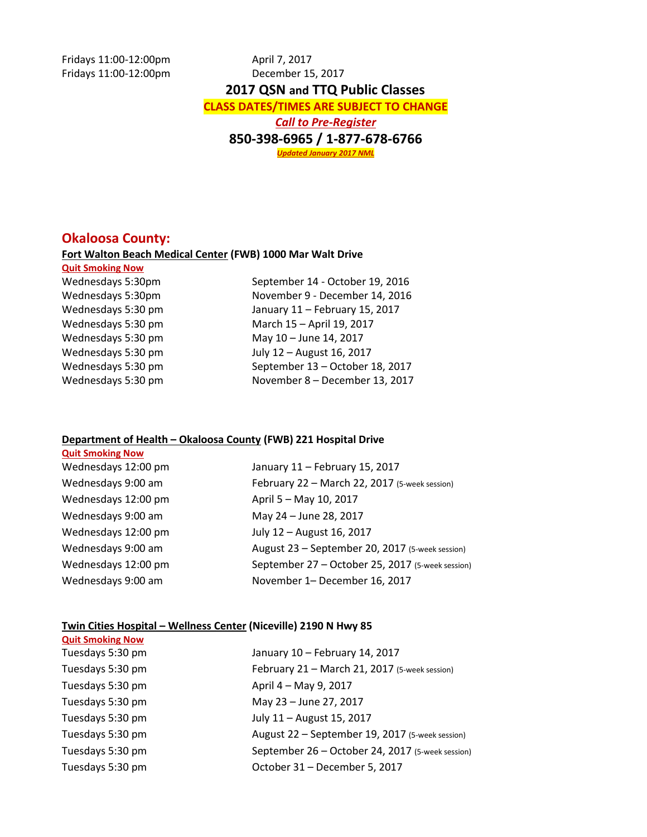Fridays 11:00-12:00pm April 7, 2017 Fridays 11:00-12:00pm December 15, 2017  **2017 QSN and TTQ Public Classes CLASS DATES/TIMES ARE SUBJECT TO CHANGE** *Call to Pre-Register* **850-398-6965 / 1-877-678-6766** *Updated January 2017 NML*

## **Okaloosa County:**

### **Fort Walton Beach Medical Center (FWB) 1000 Mar Walt Drive**

**Quit Smoking Now**

**Quit Smoking Now**

Wednesdays 5:30pm September 14 - October 19, 2016 Wednesdays 5:30pm November 9 - December 14, 2016 Wednesdays 5:30 pm January 11 – February 15, 2017 Wednesdays 5:30 pm March 15 – April 19, 2017 Wednesdays 5:30 pm May 10 – June 14, 2017 Wednesdays 5:30 pm July 12 – August 16, 2017 Wednesdays 5:30 pm September 13 – October 18, 2017 Wednesdays 5:30 pm November 8 – December 13, 2017

#### **Department of Health – Okaloosa County (FWB) 221 Hospital Drive**

| Wednesdays 12:00 pm | January 11 - February 15, 2017                   |
|---------------------|--------------------------------------------------|
| Wednesdays 9:00 am  | February 22 - March 22, 2017 (5-week session)    |
| Wednesdays 12:00 pm | April 5 - May 10, 2017                           |
| Wednesdays 9:00 am  | May 24 - June 28, 2017                           |
| Wednesdays 12:00 pm | July 12 - August 16, 2017                        |
| Wednesdays 9:00 am  | August 23 - September 20, 2017 (5-week session)  |
| Wednesdays 12:00 pm | September 27 - October 25, 2017 (5-week session) |
| Wednesdays 9:00 am  | November 1- December 16, 2017                    |

### **Twin Cities Hospital – Wellness Center (Niceville) 2190 N Hwy 85**

| <b>Quit Smoking Now</b> |                                                  |
|-------------------------|--------------------------------------------------|
| Tuesdays 5:30 pm        | January 10 - February 14, 2017                   |
| Tuesdays 5:30 pm        | February 21 - March 21, 2017 (5-week session)    |
| Tuesdays 5:30 pm        | April 4 - May 9, 2017                            |
| Tuesdays 5:30 pm        | May 23 - June 27, 2017                           |
| Tuesdays 5:30 pm        | July 11 - August 15, 2017                        |
| Tuesdays 5:30 pm        | August 22 - September 19, 2017 (5-week session)  |
| Tuesdays 5:30 pm        | September 26 - October 24, 2017 (5-week session) |
| Tuesdays 5:30 pm        | October 31 - December 5, 2017                    |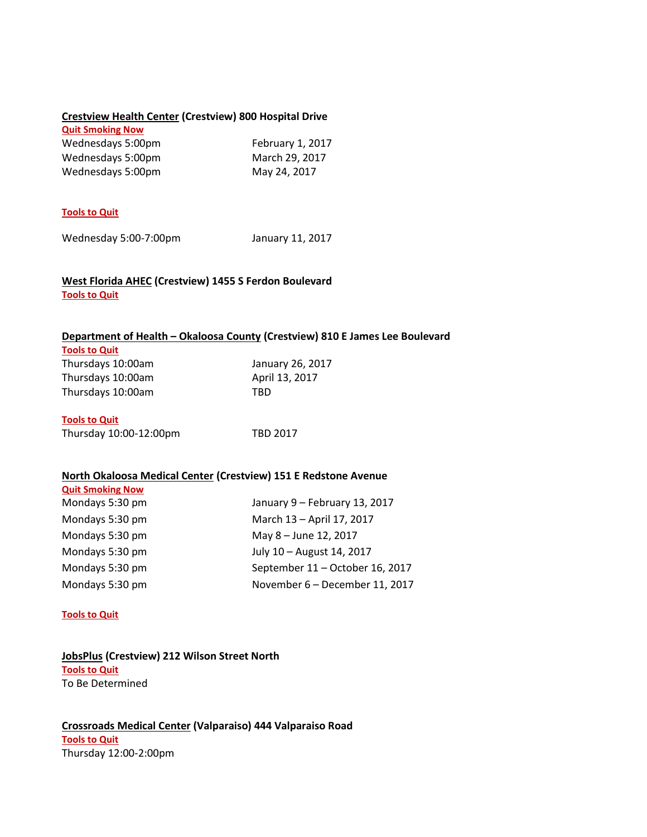## **Crestview Health Center (Crestview) 800 Hospital Drive**

| <b>Quit Smoking Now</b> |                  |
|-------------------------|------------------|
| Wednesdays 5:00pm       | February 1, 2017 |
| Wednesdays 5:00pm       | March 29, 2017   |
| Wednesdays 5:00pm       | May 24, 2017     |

## **Tools to Quit**

Wednesday 5:00-7:00pm January 11, 2017

## **West Florida AHEC (Crestview) 1455 S Ferdon Boulevard Tools to Quit**

### **Department of Health – Okaloosa County (Crestview) 810 E James Lee Boulevard**

| <b>Tools to Quit</b> |                  |
|----------------------|------------------|
| Thursdays 10:00am    | January 26, 2017 |
| Thursdays 10:00am    | April 13, 2017   |
| Thursdays 10:00am    | TRD              |

## **Tools to Quit**

**Quit Smoking Now**

| Thursday 10:00-12:00pm | <b>TBD 2017</b> |
|------------------------|-----------------|
|                        |                 |

## **North Okaloosa Medical Center (Crestview) 151 E Redstone Avenue**

| Mondays 5:30 pm | January 9 - February 13, 2017   |
|-----------------|---------------------------------|
| Mondays 5:30 pm | March 13 - April 17, 2017       |
| Mondays 5:30 pm | May 8 - June 12, 2017           |
| Mondays 5:30 pm | July 10 - August 14, 2017       |
| Mondays 5:30 pm | September 11 - October 16, 2017 |
| Mondays 5:30 pm | November 6 - December 11, 2017  |

#### **Tools to Quit**

## **JobsPlus (Crestview) 212 Wilson Street North Tools to Quit** To Be Determined

**Crossroads Medical Center (Valparaiso) 444 Valparaiso Road Tools to Quit** Thursday 12:00-2:00pm